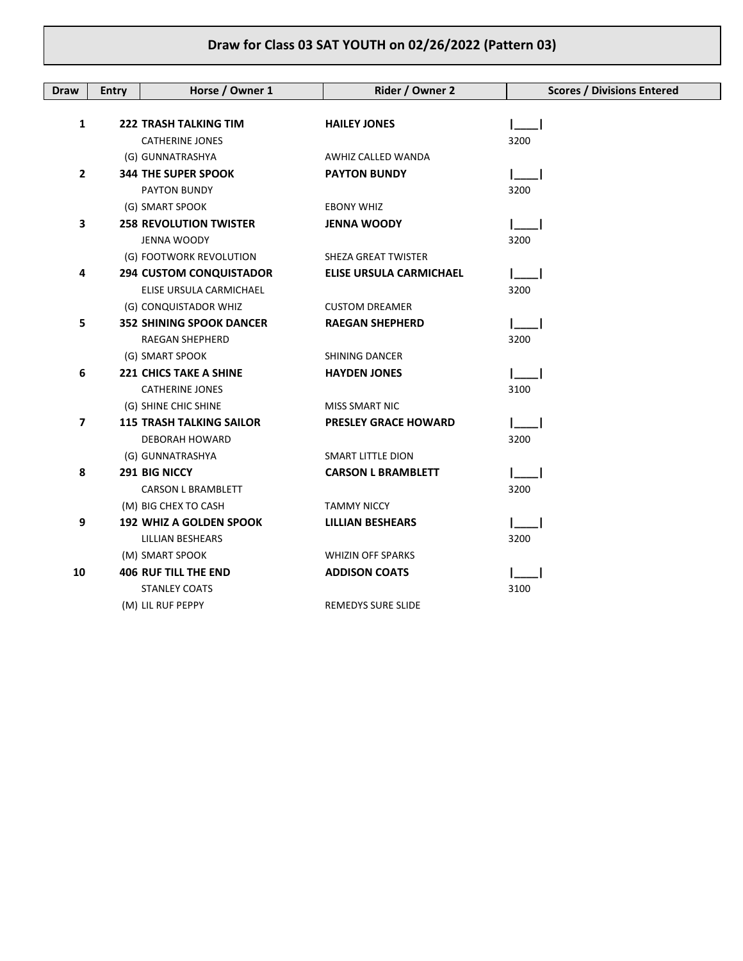## **Draw for Class 03 SAT YOUTH on 02/26/2022 (Pattern 03)**

| <b>Draw</b>    | <b>Entry</b> | Horse / Owner 1                 | Rider / Owner 2                | <b>Scores / Divisions Entered</b> |
|----------------|--------------|---------------------------------|--------------------------------|-----------------------------------|
|                |              |                                 |                                |                                   |
| 1              |              | <b>222 TRASH TALKING TIM</b>    | <b>HAILEY JONES</b>            |                                   |
|                |              | <b>CATHERINE JONES</b>          |                                | 3200                              |
|                |              | (G) GUNNATRASHYA                | AWHIZ CALLED WANDA             |                                   |
| $\mathbf{2}$   |              | <b>344 THE SUPER SPOOK</b>      | <b>PAYTON BUNDY</b>            |                                   |
|                |              | <b>PAYTON BUNDY</b>             |                                | 3200                              |
|                |              | (G) SMART SPOOK                 | <b>EBONY WHIZ</b>              |                                   |
| 3              |              | <b>258 REVOLUTION TWISTER</b>   | <b>JENNA WOODY</b>             |                                   |
|                |              | JENNA WOODY                     |                                | 3200                              |
|                |              | (G) FOOTWORK REVOLUTION         | SHEZA GREAT TWISTER            |                                   |
| 4              |              | <b>294 CUSTOM CONQUISTADOR</b>  | <b>ELISE URSULA CARMICHAEL</b> |                                   |
|                |              | ELISE URSULA CARMICHAEL         |                                | 3200                              |
|                |              | (G) CONQUISTADOR WHIZ           | <b>CUSTOM DREAMER</b>          |                                   |
| 5              |              | <b>352 SHINING SPOOK DANCER</b> | <b>RAEGAN SHEPHERD</b>         |                                   |
|                |              | RAEGAN SHEPHERD                 |                                | 3200                              |
|                |              | (G) SMART SPOOK                 | SHINING DANCER                 |                                   |
| 6              |              | <b>221 CHICS TAKE A SHINE</b>   | <b>HAYDEN JONES</b>            |                                   |
|                |              | <b>CATHERINE JONES</b>          |                                | 3100                              |
|                |              | (G) SHINE CHIC SHINE            | MISS SMART NIC                 |                                   |
| $\overline{ }$ |              | <b>115 TRASH TALKING SAILOR</b> | <b>PRESLEY GRACE HOWARD</b>    |                                   |
|                |              | DEBORAH HOWARD                  |                                | 3200                              |
|                |              | (G) GUNNATRASHYA                | <b>SMART LITTLE DION</b>       |                                   |
| 8              |              | <b>291 BIG NICCY</b>            | <b>CARSON L BRAMBLETT</b>      |                                   |
|                |              | <b>CARSON L BRAMBLETT</b>       |                                | 3200                              |
|                |              | (M) BIG CHEX TO CASH            | <b>TAMMY NICCY</b>             |                                   |
| 9              |              | <b>192 WHIZ A GOLDEN SPOOK</b>  | <b>LILLIAN BESHEARS</b>        |                                   |
|                |              | <b>LILLIAN BESHEARS</b>         |                                | 3200                              |
|                |              | (M) SMART SPOOK                 | <b>WHIZIN OFF SPARKS</b>       |                                   |
| 10             |              | <b>406 RUF TILL THE END</b>     | <b>ADDISON COATS</b>           |                                   |
|                |              | <b>STANLEY COATS</b>            |                                | 3100                              |
|                |              | (M) LIL RUF PEPPY               | <b>REMEDYS SURE SLIDE</b>      |                                   |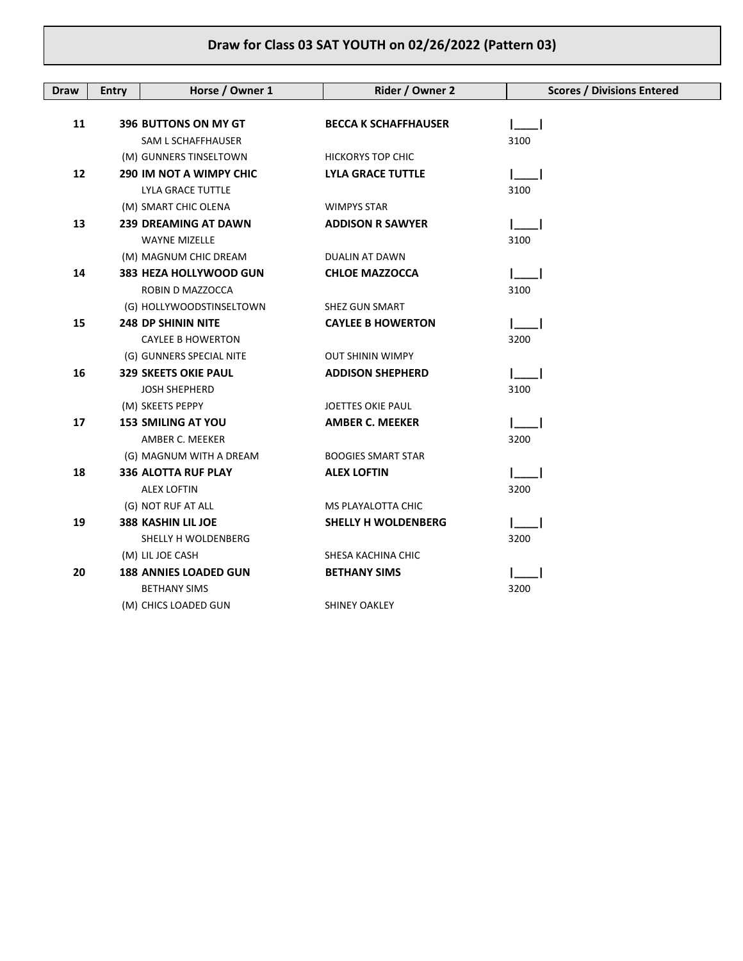## **Draw for Class 03 SAT YOUTH on 02/26/2022 (Pattern 03)**

| <b>Draw</b> | <b>Entry</b> | Horse / Owner 1                | Rider / Owner 2             | <b>Scores / Divisions Entered</b> |
|-------------|--------------|--------------------------------|-----------------------------|-----------------------------------|
|             |              |                                |                             |                                   |
| 11          |              | <b>396 BUTTONS ON MY GT</b>    | <b>BECCA K SCHAFFHAUSER</b> |                                   |
|             |              | <b>SAM L SCHAFFHAUSER</b>      |                             | 3100                              |
|             |              | (M) GUNNERS TINSELTOWN         | <b>HICKORYS TOP CHIC</b>    |                                   |
| 12          |              | <b>290 IM NOT A WIMPY CHIC</b> | <b>LYLA GRACE TUTTLE</b>    |                                   |
|             |              | LYLA GRACE TUTTLE              |                             | 3100                              |
|             |              | (M) SMART CHIC OLENA           | <b>WIMPYS STAR</b>          |                                   |
| 13          |              | <b>239 DREAMING AT DAWN</b>    | <b>ADDISON R SAWYER</b>     |                                   |
|             |              | <b>WAYNE MIZELLE</b>           |                             | 3100                              |
|             |              | (M) MAGNUM CHIC DREAM          | <b>DUALIN AT DAWN</b>       |                                   |
| 14          |              | 383 HEZA HOLLYWOOD GUN         | <b>CHLOE MAZZOCCA</b>       |                                   |
|             |              | ROBIN D MAZZOCCA               |                             | 3100                              |
|             |              | (G) HOLLYWOODSTINSELTOWN       | SHEZ GUN SMART              |                                   |
| 15          |              | <b>248 DP SHININ NITE</b>      | <b>CAYLEE B HOWERTON</b>    |                                   |
|             |              | <b>CAYLEE B HOWERTON</b>       |                             | 3200                              |
|             |              | (G) GUNNERS SPECIAL NITE       | <b>OUT SHININ WIMPY</b>     |                                   |
| 16          |              | <b>329 SKEETS OKIE PAUL</b>    | <b>ADDISON SHEPHERD</b>     |                                   |
|             |              | <b>JOSH SHEPHERD</b>           |                             | 3100                              |
|             |              | (M) SKEETS PEPPY               | JOETTES OKIE PAUL           |                                   |
| 17          |              | <b>153 SMILING AT YOU</b>      | <b>AMBER C. MEEKER</b>      |                                   |
|             |              | AMBER C. MEEKER                |                             | 3200                              |
|             |              | (G) MAGNUM WITH A DREAM        | <b>BOOGIES SMART STAR</b>   |                                   |
| 18          |              | <b>336 ALOTTA RUF PLAY</b>     | <b>ALEX LOFTIN</b>          |                                   |
|             |              | <b>ALEX LOFTIN</b>             |                             | 3200                              |
|             |              | (G) NOT RUF AT ALL             | MS PLAYALOTTA CHIC          |                                   |
| 19          |              | 388 KASHIN LIL JOE             | SHELLY H WOLDENBERG         |                                   |
|             |              | SHELLY H WOLDENBERG            |                             | 3200                              |
|             |              | (M) LIL JOE CASH               | SHESA KACHINA CHIC          |                                   |
| 20          |              | <b>188 ANNIES LOADED GUN</b>   | <b>BETHANY SIMS</b>         |                                   |
|             |              | <b>BETHANY SIMS</b>            |                             | 3200                              |
|             |              | (M) CHICS LOADED GUN           | <b>SHINEY OAKLEY</b>        |                                   |